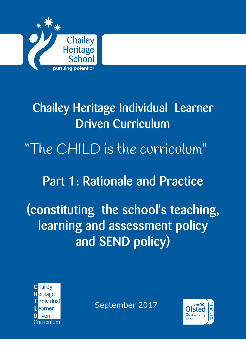

# Chailey Heritage Individual Learner Driven Curriculum

# "The CHILD is the curriculum"

# Part 1: Rationale and Practice

# (constituting the school's teaching, learning and assessment policy and SEND policy)



September 2017

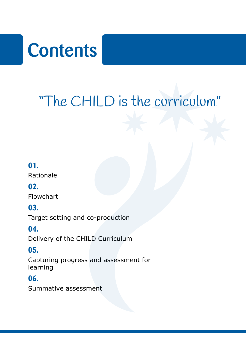# **Contents**

# "The CHILD is the curriculum"

## **01.**

Rationale

### **02.**

Flowchart

## **03.**

Target setting and co-production

## **04.**

Delivery of the CHILD Curriculum

## **05.**

Capturing progress and assessment for learning

## **06.**

Summative assessment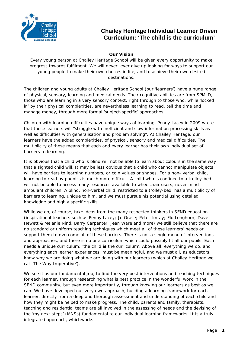

#### **Our Vision**

Every young person at Chailey Heritage School will be given every opportunity to make progress towards fulfilment. We will never, ever give up looking for ways to support our young people to make their own choices in life, and to achieve their own desired destinations.

The children and young adults at Chailey Heritage School (our 'learners') have a huge range of physical, sensory, learning and medical needs. Their cognitive abilities are from SPMLD, those who are learning in a very sensory context, right through to those who, while 'locked in' by their physical complexities, are nevertheless learning to read, tell the time and manage money, through more formal 'subject-specific' approaches.

Children with learning difficulties have unique ways of learning. Penny Lacey in 2009 wrote that these learners will "struggle with inefficient and slow information processing skills as well as difficulties with generalisation and problem solving". At Chailey Heritage, our learners have the added complexities, of physical, sensory and medical difficulties. The multiplicity of these means that each and every learner has their own individual set of barriers to learning.

It is obvious that a child who is blind will not be able to learn about colours in the same way that a sighted child will. It may be less obvious that a child who cannot manipulate objects will have barriers to learning numbers, or coin values or shapes. For a non- verbal child, learning to read by phonics is much more difficult. A child who is confined to a trolley-bed will not be able to access many resources available to wheelchair users, never mind ambulant children. A blind, non-verbal child, restricted to a trolley-bed, has a multiplicity of barriers to learning, unique to him, and we must pursue his potential using detailed knowledge and highly specific skills.

While we do, of course, take ideas from the many respected thinkers in SEND education (inspirational teachers such as Penny Lacey; Jo Grace; Peter Imray; Flo Longhorn; Dave Hewett & Melanie Nind, Barry Carpenter, Jean Ware and more) we still believe that there are no standard or uniform teaching techniques which meet all of these learners' needs or support them to overcome all of these barriers. There is not a single menu of interventions and approaches, and there is no one curriculum which could possibly fit all our pupils. Each needs a unique curriculum: 'the child **is** the curriculum'. Above all, everything we do, and everything each learner experiences, must be meaningful, and we must all, as educators, know why we are doing what we are doing with our learners (which at Chailey Heritage we call 'The Why Imperative').

We see it as our fundamental job, to find the very best interventions and teaching techniques for each learner, through researching what is best practice in the wonderful work in the SEND community, but even more importantly, through knowing our learners as best as we can. We have developed our very own approach, building a learning framework for each learner, directly from a deep and thorough assessment and understanding of each child and how they might be helped to make progress. The child, parents and family, therapists, teaching and residential teams are all involved in the assessing of needs and the devising of the 'my next steps' (MNSs) fundamental to our individual learning frameworks. It is a truly integrated approach, whichworks.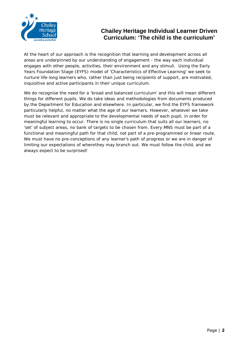

At the heart of our approach is the recognition that learning and development across all areas are underpinned by our understanding of engagement - the way each individual engages with other people, activities, their environment and any stimuli. Using the Early Years Foundation Stage (EYFS) model of '*Characteristics of Effective Learning'* we seek to nurture life-long learners who, rather than just being recipients of support, are motivated, inquisitive and active participants in their unique curriculum.

We do recognise the need for a 'broad and balanced curriculum' and this will mean different things for different pupils. We do take ideas and methodologies from documents produced by the Department for Education and elsewhere. In particular, we find the EYFS framework particularly helpful, no matter what the age of our learners. However, whatever we take must be relevant and appropriate to the developmental needs of each pupil, in order for meaningful learning to occur. There is no single curriculum that suits all our learners, no 'set' of subject areas, no bank of targets to be chosen from. Every MNS must be part of a functional and meaningful path for that child, not part of a pre-programmed or linear route. We must have no pre-conceptions of any learner's path of progress or we are in danger of limiting our expectations of wherethey may branch out. We must follow the child, and we always expect to be surprised!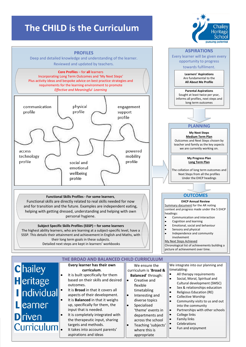# **The CHILD is the Curriculum**



**curriculum**. curriculum is '**Broad &**  It is built specifically for them **Balanced**' through: **H**eritage based on their skills and desired Creative and outcomes. flexible Individual It is **Broad** in that it covers all timetabling aspects of their development. Interesting and It is **Balanced** in that it weighs diverse topics Learner up, specifically for them, the Specialised input that is needed. 'theme' events in **D**riven It is completely integrated with departments and the therapeutic input, sharing across the school Curriculum. targets and methods. Teaching 'subjects' It takes into account parents' where this is aspirations and ideas appropriate

All therapy requirements

Heritage Schoo

- Social, Moral, Spiritual and
- Cultural development (SMSC)
- Sex & relationships education
- Religious Education (RE)
- Collective Worship
- Community visits to us and out into the community
- Partnerships with other schools
- College links
- Family links
- **Celebrations**
- Fun and enjoyment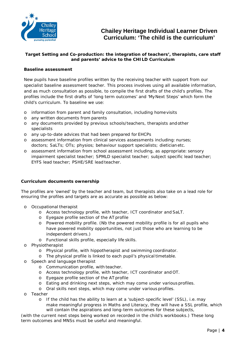

#### **Target Setting and Co-production: the integration of teachers', therapists, care staff and parents' advice to the CHILD Curriculum**

#### **Baseline assessment**

New pupils have baseline profiles written by the receiving teacher with support from our specialist baseline assessment teacher. This process involves using all available information, and as much consultation as possible, to compile the first drafts of the child's profiles. The profiles include the first drafts of 'long term outcomes' and 'MyNext Steps' which form the child's curriculum. To baseline we use:

- o information from parent and family consultation, including homevisits
- o any written documents from parents
- o any documents provided by previous schools/teachers, therapists andother specialists
- o any up-to-date advices that had been prepared for EHCPs
- o assessment information from clinical services assessments including: nurses; doctors; SaLTs; OTs; physios; behaviour support specialists; dieticianetc.
- o assessment information from school assessment including, as appropriate: sensory impairment specialist teacher; SPMLD specialist teacher; subject specific lead teacher; EYFS lead teacher; PSHE/SRE lead teacher.

#### **Curriculum documents ownership**

The profiles are 'owned' by the teacher and team, but therapists also take on a lead role for ensuring the profiles and targets are as accurate as possible as below:

- o Occupational therapist
	- o Access technology profile, with teacher, ICT coordinator and SaLT.
	- o Eyegaze profile section of the AT profile
	- o Powered mobility profile. (Nb the powered mobility profile is for all pupils who have powered mobility opportunities, not just those who are learning to be independent drivers.)
	- o Functional skills profile, especially life skills.
- o Physiotherapist
	- o Physical profile, with hippotherapist and swimming coordinator.
	- o The physical profile is linked to each pupil's physicaltimetable.
- o Speech and language therapist
	- o Communication profile, with teacher.
	- o Access technology profile, with teacher, ICT coordinator and OT.
	- o Eyegaze profile section of the AT profile
	- o Eating and drinking next steps, which may come under various profiles.
	- o Oral skills next steps, which may come under various profiles.
- o Teacher
	- o If the child has the ability to learn at a 'subject-specific level' (SSL), i.e. may make meaningful progress in Maths and Literacy, they will have a SSL profile, which will contain the aspirations and long-term outcomes for these subjects,

(with the current next steps being worked on recorded in the child's workbooks.) These long term outcomes and MNSs must be useful and meaningful.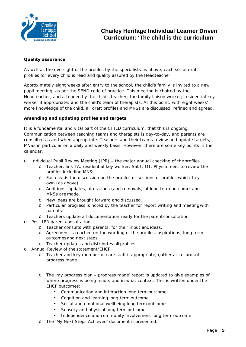

#### **Quality assurance**

As well as the oversight of the profiles by the specialists as above, each set of draft profiles for every child is read and quality assured by the Headteacher.

Approximately eight weeks after entry to the school, the child's family is invited to a new pupil meeting, as per the SEND code of practice. This meeting is chaired by the Headteacher, and attended by the child's teacher; the family liaison worker; residential key worker if appropriate; and the child's team of therapists. At this point, with eight weeks' more knowledge of the child, all draft profiles and MNSs are discussed, refined and agreed.

#### **Amending and updating profiles and targets**

It is a fundamental and vital part of the CHILD curriculum, that this is ongoing. Communication between teaching teams and therapists is day-to-day, and parents are consulted as and when appropriate. Teachers and their teams review and update targets, MNSs in particular on a daily and weekly basis. However, there are some key points in the calendar:

- o Individual Pupil Review Meeting (IPR) the major annual checking of theprofiles
	- o Teacher, link TA, residential key worker, SaLT, OT, Physio meet to review the profiles including MNSs.
	- o Each leads the discussion on the profiles or sections of profiles whichthey own (as above).
	- o Additions, updates, alterations (and removals) of long term outcomesand MNSs are made.
	- o New ideas are brought forward and discussed.
	- o Particular progress is noted by the teacher for report writing and meetingwith parents.
	- o Teachers update all documentation ready for the parent consultation.
- o Post-IPR parent consultation
	- o Teacher consults with parents, for their input and ideas.
	- o Agreement is reached on the wording of the profiles, aspirations, long term outcomes and next steps.
	- o Teacher updates and distributes all profiles.
- o Annual Review of the statement/EHCP
	- o Teacher and key member of care staff if appropriate, gather all records of progress made
	- o The 'my progress plan progress made' report is updated to give examples of where progress is being made, and in what context. This is written under the EHCP outcomes:
		- Communication and interaction long term outcome
		- Cognition and learning long term outcome
		- Social and emotional wellbeing long term outcome
		- Sensory and physical long term outcome
		- Independence and community involvement long term outcome
	- o The 'My Next Steps Achieved' document is presented.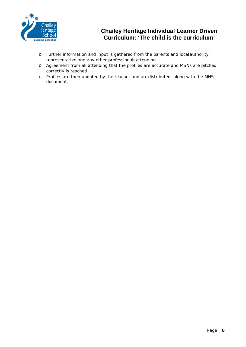

- o Further information and input is gathered from the parents and local authority representative and any other professionalsattending.
- o Agreement from all attending that the profiles are accurate and MSNs are pitched correctly is reached
- o Profiles are then updated by the teacher and are distributed, along with the MNS document.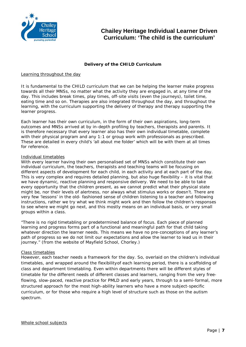

#### **Delivery of the CHILD Curriculum**

#### Learning throughout the day

It is fundamental to the CHILD curriculum that we can be helping the learner make progress towards all their MNSs, no matter what the activity they are engaged in, at any time of the day. This includes break times, play times, off-site visits (even the journeys), toilet time, eating time and so on. Therapies are also integrated throughout the day, and throughout the learning, with the curriculum supporting the delivery of therapy and therapy supporting the learner progress.

Each learner has their own curriculum, in the form of their own aspirations, long-term outcomes and MNSs arrived at by in-depth profiling by teachers, therapists and parents. It is therefore necessary that every learner also has their own individual timetable, complete with their physical program and any 1:1 or group work with professionals as prescribed. These are detailed in every child's 'all about me folder' which will be with them at all times for reference.

#### Individual timetables

With every learner having their own personalised set of MNSs which constitute their own individual curriculum, the teachers, therapists and teaching teams will be focusing on different aspects of development for each child, in each activity and at each part of the day. This is very complex and requires detailed planning, but also huge flexibility – it is vital that we have dynamic, reactive planning and responsive delivery. We need to be able to take every opportunity that the children present, as we cannot predict what their physical state might be, nor their levels of alertness, nor always what stimulus works or doesn't. There are very few 'lessons' in the old- fashioned sense of children listening to a teacher and following instructions, rather we try what we think might work and then follow the children's responses to see where we might go next, and this mostly means on an individual basis, or very small groups within a class.

*"There is no rigid timetabling or predetermined balance of focus. Each piece of planned*  learning and progress forms part of a functional and meaningful path for that child taking *whatever direction the learner needs. This means we have no pre-conceptions of any learner's path of progress so we do not limit our expectations and allow the learner to lead us in their journey."* (from the website of Mayfield School, Chorley.)

#### Class timetables

However, each teacher needs a framework for the day. So, overlaid on the children's individual timetables, and wrapped around the flexibilityof each learning period, there is a scaffolding of class and department timetabling. Even within departments there will be different styles of timetable for the different needs of different classes and learners, ranging from the very freeflowing, slow-paced, reactive practice for PMLD and early years, through to a semi-formal, more structured approach for the most high-ability learners who have a more subject-specific curriculum, or for those who require a high level of structure such as those on the autism spectrum.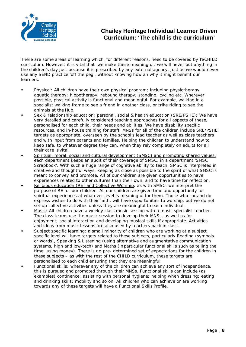

There are some areas of learning which, for different reasons, need to be covered by teCHILD curriculum. However, it is vital that we make these meaningful: we will never put anything in the children's day just because it is prescribed by any external agency, just as we would never use any SEND practice 'off the peg', without knowing how an why it might benefit our learners.

- Physical: All children have their own physical program; including physiotherapy; aquatic therapy; hippotherapy; rebound therapy; standing; cycling etc. Wherever possible, physical activity is functional and meaningful. For example, walking in a specialist walking frame to see a friend in another class, or trike riding to see the animals at the Hub.
- Sex & relationship education; personal, social & health education (SRE/PSHE): We have very detailed and carefully considered teaching approaches for all aspects of these, personalised for each child, their needs and abilities. We have disability specific resources, and in-house training for staff. MNSs for all of the children include SRE/PSHE targets as appropriate, overseen by the school's lead teacher as well as class teachers and with input from parents and families. Helping the children to understand how to keep safe, to whatever degree they can, when they rely completely on adults for all their care is vital.
- Spiritual, moral, social and cultural development (SMSC) and promoting shared values: each department keeps an audit of their coverage of SMSC, in a department 'SMSC Scrapbook'. With such a huge range of cognitive ability to teach, SMSC is interpreted in creative and thoughtful ways, keeping as close as possible to the spirit of what SMSC is meant to convey and promote. All of our children are given opportunities to have experiences related to other cultures than their own, and to have time for reflection.
- Religious education (RE) and Collective Worship: as with SMSC, we interpret the purpose of RE for our children. All our children are given time and opportunity for spiritual experiences at whatever level is meaningful for them. Those who canand do express wishes to do with their faith, will have opportunities to worship, but we do not set up collective activities unless they are meaningful to each individual.
- Music: All children have a weekly class music session with a music specialist teacher. The class teams use the music session to develop their MNSs, as well as for enjoyment; social interaction and developing musical skills if appropriate. Activities and ideas from music lessons are also used by teachers back in class.
- Subject specific learning: a small minority of children who are working at a subject specific level will have targets related to these subjects, particularly Reading (symbols or words), Speaking & Listening (using alternative and augmentative communication systems, high and low-tech) and Maths (inparticular functional skills such as telling the time; using money). There is no pre- determined set of expectations for the children in these subjects – as with the rest of the CHILD curriculum, these targets are personalised to each child ensuring that they are meaningful.
- Functional skills: wherever any of the children can achieve any sort of independence, this is pursued and promoted through their MNSs. Functional skills can include (as examples) continence; assisting with personal hygiene; helping when dressing; eating and drinking skills; mobility and so on. All children who can achieve or are working towards any of these targets will have a Functional Skills Profile.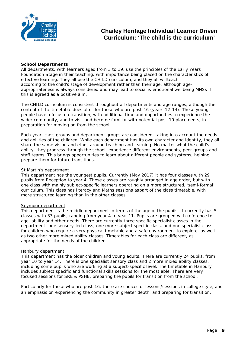

#### **School Departments**

All departments, with learners aged from 3 to 19, use the principles of the Early Years Foundation Stage in their teaching, with importance being placed on the characteristics of effective learning. They all use the CHILD curriculum, and they all willteach according to the child's stage of development rather than their age, although ageappropriateness is always considered and may lead to social & emotional wellbeing MNSs if this is agreed as a positive aim.

The CHILD curriculum is consistent throughout all departments and age ranges, although the content of the timetable does alter for those who are post-16 (years 12-14). These young people have a focus on transition, with additional time and opportunities to experience the wider community, and to visit and become familiar with potential post-19 placements, in preparation for moving on from the school.

Each year, class groups and department groups are considered, taking into account the needs and abilities of the children. While each department has its own character and identity, they all share the same vision and ethos around teaching and learning. No matter what the child's ability, they progress through the school, experience different environments, peer groups and staff teams. This brings opportunities to learn about different people and systems, helping prepare them for future transitions.

#### St Martin's department

This department has the youngest pupils. Currently (May 2017) it has four classes with 29 pupils from Reception to year 4. These classes are roughly arranged in age order, but with one class with mainly subject-specific learners operating on a more structured, 'semi-formal' curriculum. This class has literacy and Maths sessions aspart of the class timetable, with more structured learning than in the other classes.

#### Seymour department

This department is the middle department in terms of the age of the pupils. It currently has 5 classes with 33 pupils, ranging from year 4 to year 11. Pupils are grouped with reference to age, ability and other needs. There are currently three specific specialist classes in the department: one sensory-led class, one more subject specific class, and one specialist class for children who require a very physical timetable and a safe environment to explore, as well as two other more mixed ability classes. Timetables for each class are different, as appropriate for the needs of the children.

#### Hanbury department

This department has the older children and young adults. There are currently 24 pupils, from year 10 to year 14. There is one specialist sensory class and 2 more mixed ability classes, including some pupils who are working at a subject-specific level. The timetable in Hanbury includes subject specific and functional skills sessions for the most able. There are very focused sessions for SRE & PSHE, preparing the pupils for transition from the school.

Particularly for those who are post-16, there are choices of lessons/sessions in college style, and an emphasis on experiencing the community in greater depth, and preparing for transition.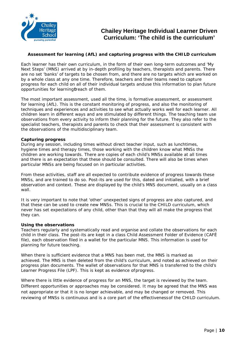

#### **Assessment for learning (AfL) and capturing progress with the CHILD curriculum**

Each learner has their own curriculum, in the form of their own long-term outcomes and 'My Next Steps' (MNS) arrived at by in-depth profiling by teachers, therapists and parents. There are no set 'banks' of targets to be chosen from, and there are no targets which are worked on by a whole class at any one time. Therefore, teachers and their teams need to capture progress for each child on all of their individual targets anduse this information to plan future opportunities for learningfreach of them.

The most important assessment, used all the time, is formative assessment, or assessment for learning (AfL). This is the constant monitoring of progress, and also the monitoring of techniques and experiences and activities to see what actually works well for each learner. All children learn in different ways and are stimulated by different things. The teaching team use observations from every activity to inform their planning for the future. They also refer to the specialist teachers, therapists and parents to check that their assessment is consistent with the observations of the multidisciplinary team.

#### **Capturing progress**

During any session, including times without direct teacher input, such as lunchtimes, hygiene times and therapy times, those working with the children know what MNSs the children are working towards. There are copies of each child's MNSs available at all times and there is an expectation that these should be consulted. There will also be times when particular MNSs are being focused on in particular activities.

From these activities, staff are all expected to contribute evidence of progress towards these MNSs, and are trained to do so. Post-its are used for this, dated and initialled, with a brief observation and context. These are displayed by the child's MNS document, usually on a class wall.

It is very important to note that 'other' unexpected signs of progress are also captured, and that these can be used to create new MNSs. This is crucial to the CHILD curriculum, which never has set expectations of any child, other than that they will all make the progress that they can.

#### **Using the observations**

Teachers regularly and systematically read and organise and collate the observations for each child in their class. The post-its are kept in a class Child Assessment Folder of Evidence (CAFÉ file), each observation filed in a wallet for the particular MNS. This information is used for planning for future teaching.

When there is sufficient evidence that a MNS has been met, the MNS is marked as achieved. The MNS is then deleted from the child's curriculum, and noted as achieved on their progress plan documents. The wallet of observations for that MNS is transferred to the child's Learner Progress File (LPF). This is kept as evidence ofprogress.

Where there is little evidence of progress for an MNS, the target is reviewed by the team. Different opportunities or approaches may be considered. It may be agreed that the MNS was not appropriate or that it is no longer achievable, and may be changed or removed. This reviewing of MNSs is continuous and is a core part of the effectivenessof the CHILD curriculum.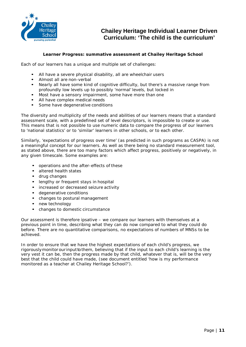

#### **Learner Progress: summative assessment at Chailey Heritage School**

Each of our learners has a unique and multiple set of challenges:

- All have a severe physical disability, all are wheelchair users
- Almost all are non-verbal<br>• Nearly all have some kind
- Nearly all have some kind of cognitive difficulty, but there's a massive range from profoundly low levels up to possibly 'normal' levels, but locked in
- Most have a sensory impairment, some have more than one
- All have complex medical needs
- Some have degenerative conditions

The diversity and multiplicity of the needs and abilities of our learners means that a standard assessment scale, with a predefined set of level descriptors, is impossible to create or use. This means that is not possible to use numeric data to compare the progress of our learners to 'national statistics' or to 'similar' learners in other schools, or to each other.

Similarly, 'expectations of progress over time' (as predicted in such programs as CASPA) is not a meaningful concept for our learners. As well as there being no standard measurement tool, as stated above, there are too many factors which affect progress, positively or negatively, in any given timescale. Some examples are:

- operations and the after-effects of these
- altered health states
- drug changes
- lengthy or frequent stays in hospital
- increased or decreased seizure activity
- degenerative conditions
- changes to postural management
- new technology
- changes to domestic circumstance

Our assessment is therefore ipsative – we compare our learners with themselves at a previous point in time, describing what they can do now compared to what they could do before. There are no quantitative comparisons, no expectations of numbers of MNSs to be achieved.

In order to ensure that we have the highest expectations of each child's progress, we rigorously monitor our input to them, believing that if the input to each child's learning is the very vest it can be, then the progress made by that child, whatever that is, will be the very best that the child could have made, (see document entitled 'how is my performance monitored as a teacher at Chailey Heritage School?').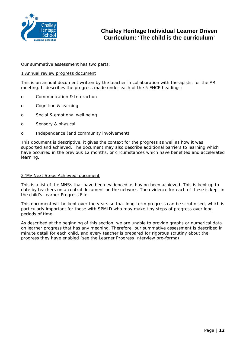

Our summative assessment has two parts:

#### 1 Annual review progress document

This is an annual document written by the teacher in collaboration with therapists, for the AR meeting. It describes the progress made under each of the 5 EHCP headings:

- o Communication & Interaction
- o Cognition & learning
- o Social & emotional well being
- o Sensory & physical
- o Independence (and community involvement)

This document is descriptive, it gives the context for the progress as well as how it was supported and achieved. The document may also describe additional barriers to learning which have occurred in the previous 12 months, or circumstances which have benefited and accelerated learning.

#### 2 'My Next Steps Achieved' document

This is a list of the MNSs that have been evidenced as having been achieved. This is kept up to date by teachers on a central document on the network. The evidence for each of these is kept in the child's Learner Progress File.

This document will be kept over the years so that long-term progress can be scrutinised, which is particularly important for those with SPMLD who may make tiny steps of progress over long periods of time.

As described at the beginning of this section, we are unable to provide graphs or numerical data on learner progress that has any meaning. Therefore, our summative assessment is described in minute detail for each child, and every teacher is prepared for rigorous scrutiny about the progress they have enabled (see the Learner Progress Interview pro-forma)